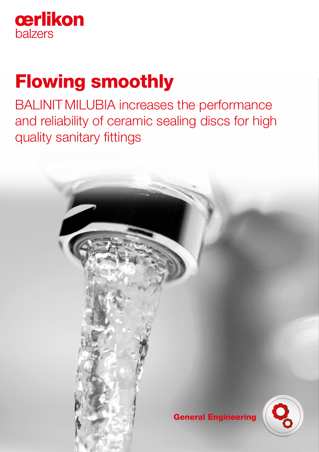

# Flowing smoothly

BALINIT MILUBIA increases the performance and reliability of ceramic sealing discs for high quality sanitary fittings